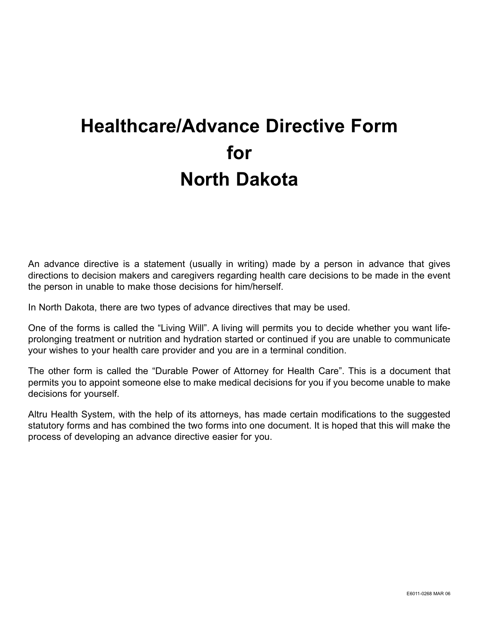## **Healthcare/Advance Directive Form for North Dakota**

An advance directive is a statement (usually in writing) made by a person in advance that gives directions to decision makers and caregivers regarding health care decisions to be made in the event the person in unable to make those decisions for him/herself.

In North Dakota, there are two types of advance directives that may be used.

One of the forms is called the "Living Will". A living will permits you to decide whether you want lifeprolonging treatment or nutrition and hydration started or continued if you are unable to communicate your wishes to your health care provider and you are in a terminal condition.

The other form is called the "Durable Power of Attorney for Health Care". This is a document that permits you to appoint someone else to make medical decisions for you if you become unable to make decisions for yourself.

Altru Health System, with the help of its attorneys, has made certain modifications to the suggested statutory forms and has combined the two forms into one document. It is hoped that this will make the process of developing an advance directive easier for you.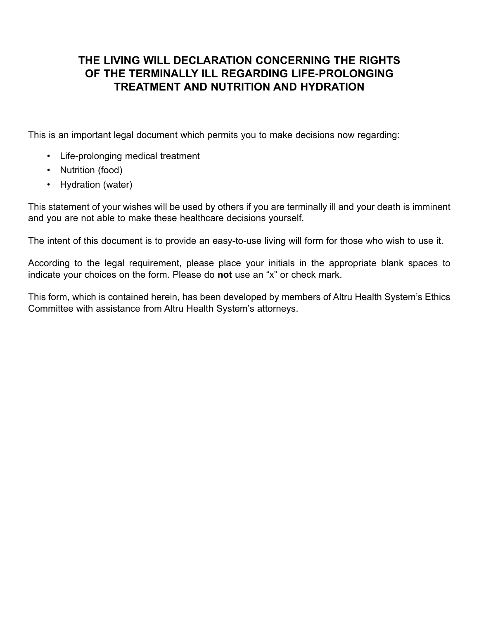## **THE LIVING WILL DECLARATION CONCERNING THE RIGHTS OF THE TERMINALLY ILL REGARDING LIFE-PROLONGING TREATMENT AND NUTRITION AND HYDRATION**

This is an important legal document which permits you to make decisions now regarding:

- Life-prolonging medical treatment
- Nutrition (food)
- Hydration (water)

This statement of your wishes will be used by others if you are terminally ill and your death is imminent and you are not able to make these healthcare decisions yourself.

The intent of this document is to provide an easy-to-use living will form for those who wish to use it.

According to the legal requirement, please place your initials in the appropriate blank spaces to indicate your choices on the form. Please do **not** use an "x" or check mark.

This form, which is contained herein, has been developed by members of Altru Health System's Ethics Committee with assistance from Altru Health System's attorneys.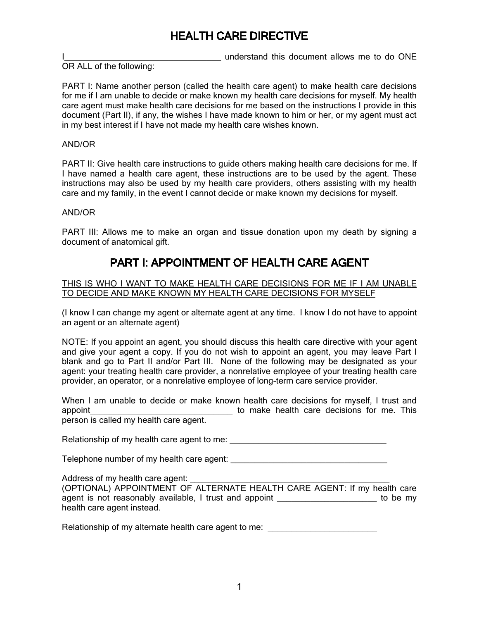## HEALTH CARE DIRECTIVE

I<sub>2</sub> and the standard this document allows me to do ONE

OR ALL of the following:

PART I: Name another person (called the health care agent) to make health care decisions for me if I am unable to decide or make known my health care decisions for myself. My health care agent must make health care decisions for me based on the instructions I provide in this document (Part II), if any, the wishes I have made known to him or her, or my agent must act in my best interest if I have not made my health care wishes known.

#### AND/OR

PART II: Give health care instructions to guide others making health care decisions for me. If I have named a health care agent, these instructions are to be used by the agent. These instructions may also be used by my health care providers, others assisting with my health care and my family, in the event I cannot decide or make known my decisions for myself.

#### AND/OR

PART III: Allows me to make an organ and tissue donation upon my death by signing a document of anatomical gift.

## PART I: APPOINTMENT OF HEALTH CARE AGENT

THIS IS WHO I WANT TO MAKE HEALTH CARE DECISIONS FOR ME IF I AM UNABLE TO DECIDE AND MAKE KNOWN MY HEALTH CARE DECISIONS FOR MYSELF

(I know I can change my agent or alternate agent at any time. I know I do not have to appoint an agent or an alternate agent)

NOTE: If you appoint an agent, you should discuss this health care directive with your agent and give your agent a copy. If you do not wish to appoint an agent, you may leave Part I blank and go to Part II and/or Part III. None of the following may be designated as your agent: your treating health care provider, a nonrelative employee of your treating health care provider, an operator, or a nonrelative employee of long-term care service provider.

When I am unable to decide or make known health care decisions for myself, I trust and appoint appoint appoint appoint and to make health care decisions for me. This person is called my health care agent.

Relationship of my health care agent to me: \_\_\_\_\_\_\_\_\_\_\_\_\_\_\_\_\_\_\_\_\_\_\_\_\_\_\_\_\_\_\_\_\_

Telephone number of my health care agent: \_\_\_\_\_\_\_\_\_\_\_\_\_\_\_\_\_\_\_\_\_\_\_\_\_\_\_\_\_\_\_\_\_

Address of my health care agent:  $\blacksquare$ 

| (OPTIONAL) APPOINTMENT OF ALTERNATE HEALTH CARE AGENT: If my health care |          |
|--------------------------------------------------------------------------|----------|
| agent is not reasonably available, I trust and appoint                   | to be my |
| health care agent instead.                                               |          |

Relationship of my alternate health care agent to me: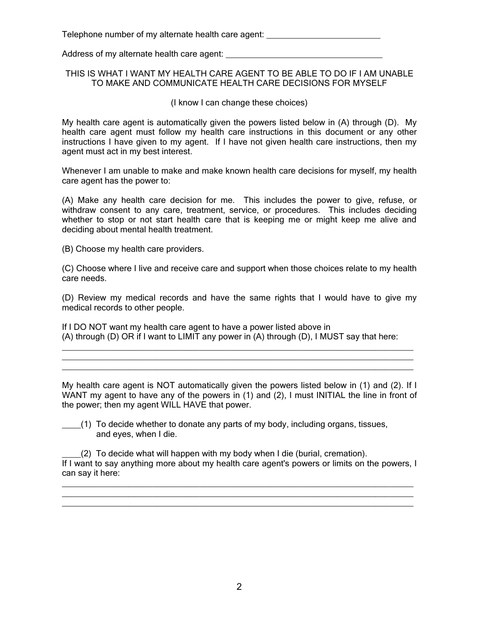Telephone number of my alternate health care agent: \_\_\_\_\_\_\_\_\_\_\_\_\_\_\_\_\_\_\_\_\_\_\_\_\_\_\_\_

Address of my alternate health care agent:

#### THIS IS WHAT I WANT MY HEALTH CARE AGENT TO BE ABLE TO DO IF I AM UNABLE TO MAKE AND COMMUNICATE HEALTH CARE DECISIONS FOR MYSELF

(I know I can change these choices)

My health care agent is automatically given the powers listed below in (A) through (D). My health care agent must follow my health care instructions in this document or any other instructions I have given to my agent. If I have not given health care instructions, then my agent must act in my best interest.

Whenever I am unable to make and make known health care decisions for myself, my health care agent has the power to:

(A) Make any health care decision for me. This includes the power to give, refuse, or withdraw consent to any care, treatment, service, or procedures. This includes deciding whether to stop or not start health care that is keeping me or might keep me alive and deciding about mental health treatment.

(B) Choose my health care providers.

(C) Choose where I live and receive care and support when those choices relate to my health care needs.

(D) Review my medical records and have the same rights that I would have to give my medical records to other people.

If I DO NOT want my health care agent to have a power listed above in (A) through (D) OR if I want to LIMIT any power in (A) through (D), I MUST say that here:

\_\_\_\_\_\_\_\_\_\_\_\_\_\_\_\_\_\_\_\_\_\_\_\_\_\_\_\_\_\_\_\_\_\_\_\_\_\_\_\_\_\_\_\_\_\_\_\_\_\_\_\_\_\_\_\_\_\_\_\_\_\_\_\_\_\_\_\_\_\_\_\_\_\_ \_\_\_\_\_\_\_\_\_\_\_\_\_\_\_\_\_\_\_\_\_\_\_\_\_\_\_\_\_\_\_\_\_\_\_\_\_\_\_\_\_\_\_\_\_\_\_\_\_\_\_\_\_\_\_\_\_\_\_\_\_\_\_\_\_\_\_\_\_\_\_\_\_\_ \_\_\_\_\_\_\_\_\_\_\_\_\_\_\_\_\_\_\_\_\_\_\_\_\_\_\_\_\_\_\_\_\_\_\_\_\_\_\_\_\_\_\_\_\_\_\_\_\_\_\_\_\_\_\_\_\_\_\_\_\_\_\_\_\_\_\_\_\_\_\_\_\_\_

My health care agent is NOT automatically given the powers listed below in (1) and (2). If I WANT my agent to have any of the powers in (1) and (2), I must INITIAL the line in front of the power; then my agent WILL HAVE that power.

\_\_\_\_(1) To decide whether to donate any parts of my body, including organs, tissues, and eyes, when I die.

\_\_\_\_(2) To decide what will happen with my body when I die (burial, cremation). If I want to say anything more about my health care agent's powers or limits on the powers, I can say it here:

\_\_\_\_\_\_\_\_\_\_\_\_\_\_\_\_\_\_\_\_\_\_\_\_\_\_\_\_\_\_\_\_\_\_\_\_\_\_\_\_\_\_\_\_\_\_\_\_\_\_\_\_\_\_\_\_\_\_\_\_\_\_\_\_\_\_\_\_\_\_\_\_\_\_ \_\_\_\_\_\_\_\_\_\_\_\_\_\_\_\_\_\_\_\_\_\_\_\_\_\_\_\_\_\_\_\_\_\_\_\_\_\_\_\_\_\_\_\_\_\_\_\_\_\_\_\_\_\_\_\_\_\_\_\_\_\_\_\_\_\_\_\_\_\_\_\_\_\_ \_\_\_\_\_\_\_\_\_\_\_\_\_\_\_\_\_\_\_\_\_\_\_\_\_\_\_\_\_\_\_\_\_\_\_\_\_\_\_\_\_\_\_\_\_\_\_\_\_\_\_\_\_\_\_\_\_\_\_\_\_\_\_\_\_\_\_\_\_\_\_\_\_\_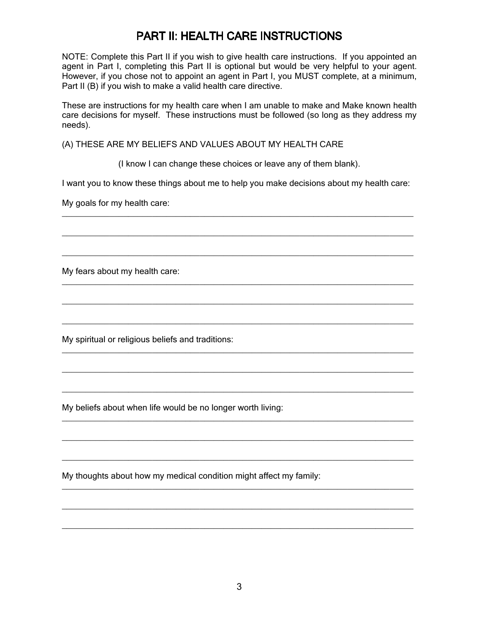## PART II: HEALTH CARE INSTRUCTIONS

NOTE: Complete this Part II if you wish to give health care instructions. If you appointed an agent in Part I, completing this Part II is optional but would be very helpful to your agent. However, if you chose not to appoint an agent in Part I, you MUST complete, at a minimum, Part II (B) if you wish to make a valid health care directive.

These are instructions for my health care when I am unable to make and Make known health care decisions for myself. These instructions must be followed (so long as they address my needs).

(A) THESE ARE MY BELIEFS AND VALUES ABOUT MY HEALTH CARE

(I know I can change these choices or leave any of them blank).

I want you to know these things about me to help you make decisions about my health care:

\_\_\_\_\_\_\_\_\_\_\_\_\_\_\_\_\_\_\_\_\_\_\_\_\_\_\_\_\_\_\_\_\_\_\_\_\_\_\_\_\_\_\_\_\_\_\_\_\_\_\_\_\_\_\_\_\_\_\_\_\_\_\_\_\_\_\_\_\_\_\_\_\_\_

\_\_\_\_\_\_\_\_\_\_\_\_\_\_\_\_\_\_\_\_\_\_\_\_\_\_\_\_\_\_\_\_\_\_\_\_\_\_\_\_\_\_\_\_\_\_\_\_\_\_\_\_\_\_\_\_\_\_\_\_\_\_\_\_\_\_\_\_\_\_\_\_\_\_

\_\_\_\_\_\_\_\_\_\_\_\_\_\_\_\_\_\_\_\_\_\_\_\_\_\_\_\_\_\_\_\_\_\_\_\_\_\_\_\_\_\_\_\_\_\_\_\_\_\_\_\_\_\_\_\_\_\_\_\_\_\_\_\_\_\_\_\_\_\_\_\_\_\_

\_\_\_\_\_\_\_\_\_\_\_\_\_\_\_\_\_\_\_\_\_\_\_\_\_\_\_\_\_\_\_\_\_\_\_\_\_\_\_\_\_\_\_\_\_\_\_\_\_\_\_\_\_\_\_\_\_\_\_\_\_\_\_\_\_\_\_\_\_\_\_\_\_\_

\_\_\_\_\_\_\_\_\_\_\_\_\_\_\_\_\_\_\_\_\_\_\_\_\_\_\_\_\_\_\_\_\_\_\_\_\_\_\_\_\_\_\_\_\_\_\_\_\_\_\_\_\_\_\_\_\_\_\_\_\_\_\_\_\_\_\_\_\_\_\_\_\_\_

\_\_\_\_\_\_\_\_\_\_\_\_\_\_\_\_\_\_\_\_\_\_\_\_\_\_\_\_\_\_\_\_\_\_\_\_\_\_\_\_\_\_\_\_\_\_\_\_\_\_\_\_\_\_\_\_\_\_\_\_\_\_\_\_\_\_\_\_\_\_\_\_\_\_

\_\_\_\_\_\_\_\_\_\_\_\_\_\_\_\_\_\_\_\_\_\_\_\_\_\_\_\_\_\_\_\_\_\_\_\_\_\_\_\_\_\_\_\_\_\_\_\_\_\_\_\_\_\_\_\_\_\_\_\_\_\_\_\_\_\_\_\_\_\_\_\_\_\_

\_\_\_\_\_\_\_\_\_\_\_\_\_\_\_\_\_\_\_\_\_\_\_\_\_\_\_\_\_\_\_\_\_\_\_\_\_\_\_\_\_\_\_\_\_\_\_\_\_\_\_\_\_\_\_\_\_\_\_\_\_\_\_\_\_\_\_\_\_\_\_\_\_\_

\_\_\_\_\_\_\_\_\_\_\_\_\_\_\_\_\_\_\_\_\_\_\_\_\_\_\_\_\_\_\_\_\_\_\_\_\_\_\_\_\_\_\_\_\_\_\_\_\_\_\_\_\_\_\_\_\_\_\_\_\_\_\_\_\_\_\_\_\_\_\_\_\_\_

\_\_\_\_\_\_\_\_\_\_\_\_\_\_\_\_\_\_\_\_\_\_\_\_\_\_\_\_\_\_\_\_\_\_\_\_\_\_\_\_\_\_\_\_\_\_\_\_\_\_\_\_\_\_\_\_\_\_\_\_\_\_\_\_\_\_\_\_\_\_\_\_\_\_

\_\_\_\_\_\_\_\_\_\_\_\_\_\_\_\_\_\_\_\_\_\_\_\_\_\_\_\_\_\_\_\_\_\_\_\_\_\_\_\_\_\_\_\_\_\_\_\_\_\_\_\_\_\_\_\_\_\_\_\_\_\_\_\_\_\_\_\_\_\_\_\_\_\_

\_\_\_\_\_\_\_\_\_\_\_\_\_\_\_\_\_\_\_\_\_\_\_\_\_\_\_\_\_\_\_\_\_\_\_\_\_\_\_\_\_\_\_\_\_\_\_\_\_\_\_\_\_\_\_\_\_\_\_\_\_\_\_\_\_\_\_\_\_\_\_\_\_\_

\_\_\_\_\_\_\_\_\_\_\_\_\_\_\_\_\_\_\_\_\_\_\_\_\_\_\_\_\_\_\_\_\_\_\_\_\_\_\_\_\_\_\_\_\_\_\_\_\_\_\_\_\_\_\_\_\_\_\_\_\_\_\_\_\_\_\_\_\_\_\_\_\_\_

\_\_\_\_\_\_\_\_\_\_\_\_\_\_\_\_\_\_\_\_\_\_\_\_\_\_\_\_\_\_\_\_\_\_\_\_\_\_\_\_\_\_\_\_\_\_\_\_\_\_\_\_\_\_\_\_\_\_\_\_\_\_\_\_\_\_\_\_\_\_\_\_\_\_

\_\_\_\_\_\_\_\_\_\_\_\_\_\_\_\_\_\_\_\_\_\_\_\_\_\_\_\_\_\_\_\_\_\_\_\_\_\_\_\_\_\_\_\_\_\_\_\_\_\_\_\_\_\_\_\_\_\_\_\_\_\_\_\_\_\_\_\_\_\_\_\_\_\_

My goals for my health care:

My fears about my health care:

My spiritual or religious beliefs and traditions:

My beliefs about when life would be no longer worth living:

My thoughts about how my medical condition might affect my family: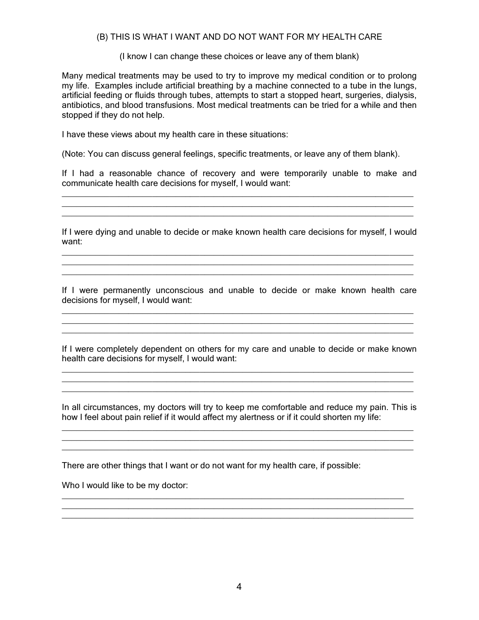#### (B) THIS IS WHAT I WANT AND DO NOT WANT FOR MY HEALTH CARE

(I know I can change these choices or leave any of them blank)

Many medical treatments may be used to try to improve my medical condition or to prolong my life. Examples include artificial breathing by a machine connected to a tube in the lungs, artificial feeding or fluids through tubes, attempts to start a stopped heart, surgeries, dialysis, antibiotics, and blood transfusions. Most medical treatments can be tried for a while and then stopped if they do not help.

I have these views about my health care in these situations:

(Note: You can discuss general feelings, specific treatments, or leave any of them blank).

If I had a reasonable chance of recovery and were temporarily unable to make and communicate health care decisions for myself, I would want:

\_\_\_\_\_\_\_\_\_\_\_\_\_\_\_\_\_\_\_\_\_\_\_\_\_\_\_\_\_\_\_\_\_\_\_\_\_\_\_\_\_\_\_\_\_\_\_\_\_\_\_\_\_\_\_\_\_\_\_\_\_\_\_\_\_\_\_\_\_\_\_\_\_\_ \_\_\_\_\_\_\_\_\_\_\_\_\_\_\_\_\_\_\_\_\_\_\_\_\_\_\_\_\_\_\_\_\_\_\_\_\_\_\_\_\_\_\_\_\_\_\_\_\_\_\_\_\_\_\_\_\_\_\_\_\_\_\_\_\_\_\_\_\_\_\_\_\_\_ \_\_\_\_\_\_\_\_\_\_\_\_\_\_\_\_\_\_\_\_\_\_\_\_\_\_\_\_\_\_\_\_\_\_\_\_\_\_\_\_\_\_\_\_\_\_\_\_\_\_\_\_\_\_\_\_\_\_\_\_\_\_\_\_\_\_\_\_\_\_\_\_\_\_

If I were dying and unable to decide or make known health care decisions for myself, I would want: \_\_\_\_\_\_\_\_\_\_\_\_\_\_\_\_\_\_\_\_\_\_\_\_\_\_\_\_\_\_\_\_\_\_\_\_\_\_\_\_\_\_\_\_\_\_\_\_\_\_\_\_\_\_\_\_\_\_\_\_\_\_\_\_\_\_\_\_\_\_\_\_\_\_

 $\_$  , and the set of the set of the set of the set of the set of the set of the set of the set of the set of the set of the set of the set of the set of the set of the set of the set of the set of the set of the set of th

If I were permanently unconscious and unable to decide or make known health care decisions for myself, I would want: \_\_\_\_\_\_\_\_\_\_\_\_\_\_\_\_\_\_\_\_\_\_\_\_\_\_\_\_\_\_\_\_\_\_\_\_\_\_\_\_\_\_\_\_\_\_\_\_\_\_\_\_\_\_\_\_\_\_\_\_\_\_\_\_\_\_\_\_\_\_\_\_\_\_

\_\_\_\_\_\_\_\_\_\_\_\_\_\_\_\_\_\_\_\_\_\_\_\_\_\_\_\_\_\_\_\_\_\_\_\_\_\_\_\_\_\_\_\_\_\_\_\_\_\_\_\_\_\_\_\_\_\_\_\_\_\_\_\_\_\_\_\_\_\_\_\_\_\_

If I were completely dependent on others for my care and unable to decide or make known health care decisions for myself, I would want:

\_\_\_\_\_\_\_\_\_\_\_\_\_\_\_\_\_\_\_\_\_\_\_\_\_\_\_\_\_\_\_\_\_\_\_\_\_\_\_\_\_\_\_\_\_\_\_\_\_\_\_\_\_\_\_\_\_\_\_\_\_\_\_\_\_\_\_\_\_\_\_\_\_\_  $\mathcal{L}_\mathcal{L} = \mathcal{L}_\mathcal{L} = \mathcal{L}_\mathcal{L} = \mathcal{L}_\mathcal{L} = \mathcal{L}_\mathcal{L} = \mathcal{L}_\mathcal{L} = \mathcal{L}_\mathcal{L} = \mathcal{L}_\mathcal{L} = \mathcal{L}_\mathcal{L} = \mathcal{L}_\mathcal{L} = \mathcal{L}_\mathcal{L} = \mathcal{L}_\mathcal{L} = \mathcal{L}_\mathcal{L} = \mathcal{L}_\mathcal{L} = \mathcal{L}_\mathcal{L} = \mathcal{L}_\mathcal{L} = \mathcal{L}_\mathcal{L}$ \_\_\_\_\_\_\_\_\_\_\_\_\_\_\_\_\_\_\_\_\_\_\_\_\_\_\_\_\_\_\_\_\_\_\_\_\_\_\_\_\_\_\_\_\_\_\_\_\_\_\_\_\_\_\_\_\_\_\_\_\_\_\_\_\_\_\_\_\_\_\_\_\_\_

In all circumstances, my doctors will try to keep me comfortable and reduce my pain. This is how I feel about pain relief if it would affect my alertness or if it could shorten my life: \_\_\_\_\_\_\_\_\_\_\_\_\_\_\_\_\_\_\_\_\_\_\_\_\_\_\_\_\_\_\_\_\_\_\_\_\_\_\_\_\_\_\_\_\_\_\_\_\_\_\_\_\_\_\_\_\_\_\_\_\_\_\_\_\_\_\_\_\_\_\_\_\_\_

 $\mathcal{L}_\mathcal{L} = \{ \mathcal{L}_\mathcal{L} = \{ \mathcal{L}_\mathcal{L} = \{ \mathcal{L}_\mathcal{L} = \{ \mathcal{L}_\mathcal{L} = \{ \mathcal{L}_\mathcal{L} = \{ \mathcal{L}_\mathcal{L} = \{ \mathcal{L}_\mathcal{L} = \{ \mathcal{L}_\mathcal{L} = \{ \mathcal{L}_\mathcal{L} = \{ \mathcal{L}_\mathcal{L} = \{ \mathcal{L}_\mathcal{L} = \{ \mathcal{L}_\mathcal{L} = \{ \mathcal{L}_\mathcal{L} = \{ \mathcal{L}_\mathcal{$ \_\_\_\_\_\_\_\_\_\_\_\_\_\_\_\_\_\_\_\_\_\_\_\_\_\_\_\_\_\_\_\_\_\_\_\_\_\_\_\_\_\_\_\_\_\_\_\_\_\_\_\_\_\_\_\_\_\_\_\_\_\_\_\_\_\_\_\_\_\_\_\_\_\_

\_\_\_\_\_\_\_\_\_\_\_\_\_\_\_\_\_\_\_\_\_\_\_\_\_\_\_\_\_\_\_\_\_\_\_\_\_\_\_\_\_\_\_\_\_\_\_\_\_\_\_\_\_\_\_\_\_\_\_\_\_\_\_\_\_\_\_\_\_\_\_\_ \_\_\_\_\_\_\_\_\_\_\_\_\_\_\_\_\_\_\_\_\_\_\_\_\_\_\_\_\_\_\_\_\_\_\_\_\_\_\_\_\_\_\_\_\_\_\_\_\_\_\_\_\_\_\_\_\_\_\_\_\_\_\_\_\_\_\_\_\_\_\_\_\_\_

There are other things that I want or do not want for my health care, if possible:

Who I would like to be my doctor: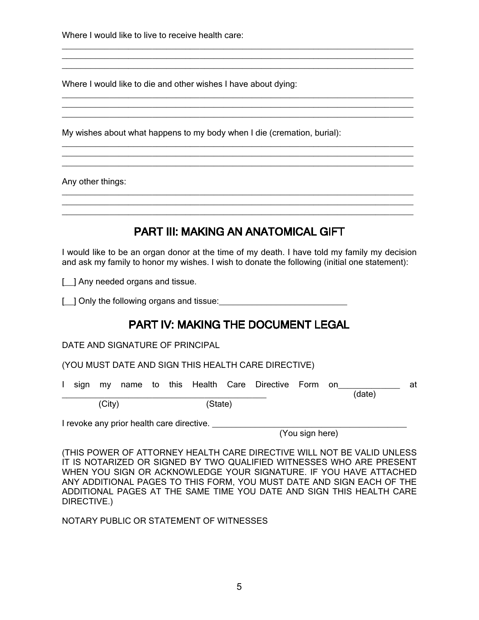Where I would like to live to receive health care:

Where I would like to die and other wishes I have about dying:

My wishes about what happens to my body when I die (cremation, burial):

Any other things:

## PART III: MAKING AN ANATOMICAL GIFT

\_\_\_\_\_\_\_\_\_\_\_\_\_\_\_\_\_\_\_\_\_\_\_\_\_\_\_\_\_\_\_\_\_\_\_\_\_\_\_\_\_\_\_\_\_\_\_\_\_\_\_\_\_\_\_\_\_\_\_\_\_\_\_\_\_\_\_\_\_\_\_\_\_\_ \_\_\_\_\_\_\_\_\_\_\_\_\_\_\_\_\_\_\_\_\_\_\_\_\_\_\_\_\_\_\_\_\_\_\_\_\_\_\_\_\_\_\_\_\_\_\_\_\_\_\_\_\_\_\_\_\_\_\_\_\_\_\_\_\_\_\_\_\_\_\_\_\_\_ \_\_\_\_\_\_\_\_\_\_\_\_\_\_\_\_\_\_\_\_\_\_\_\_\_\_\_\_\_\_\_\_\_\_\_\_\_\_\_\_\_\_\_\_\_\_\_\_\_\_\_\_\_\_\_\_\_\_\_\_\_\_\_\_\_\_\_\_\_\_\_\_\_\_

\_\_\_\_\_\_\_\_\_\_\_\_\_\_\_\_\_\_\_\_\_\_\_\_\_\_\_\_\_\_\_\_\_\_\_\_\_\_\_\_\_\_\_\_\_\_\_\_\_\_\_\_\_\_\_\_\_\_\_\_\_\_\_\_\_\_\_\_\_\_\_\_\_\_ \_\_\_\_\_\_\_\_\_\_\_\_\_\_\_\_\_\_\_\_\_\_\_\_\_\_\_\_\_\_\_\_\_\_\_\_\_\_\_\_\_\_\_\_\_\_\_\_\_\_\_\_\_\_\_\_\_\_\_\_\_\_\_\_\_\_\_\_\_\_\_\_\_\_ \_\_\_\_\_\_\_\_\_\_\_\_\_\_\_\_\_\_\_\_\_\_\_\_\_\_\_\_\_\_\_\_\_\_\_\_\_\_\_\_\_\_\_\_\_\_\_\_\_\_\_\_\_\_\_\_\_\_\_\_\_\_\_\_\_\_\_\_\_\_\_\_\_\_

\_\_\_\_\_\_\_\_\_\_\_\_\_\_\_\_\_\_\_\_\_\_\_\_\_\_\_\_\_\_\_\_\_\_\_\_\_\_\_\_\_\_\_\_\_\_\_\_\_\_\_\_\_\_\_\_\_\_\_\_\_\_\_\_\_\_\_\_\_\_\_\_\_\_ \_\_\_\_\_\_\_\_\_\_\_\_\_\_\_\_\_\_\_\_\_\_\_\_\_\_\_\_\_\_\_\_\_\_\_\_\_\_\_\_\_\_\_\_\_\_\_\_\_\_\_\_\_\_\_\_\_\_\_\_\_\_\_\_\_\_\_\_\_\_\_\_\_\_ \_\_\_\_\_\_\_\_\_\_\_\_\_\_\_\_\_\_\_\_\_\_\_\_\_\_\_\_\_\_\_\_\_\_\_\_\_\_\_\_\_\_\_\_\_\_\_\_\_\_\_\_\_\_\_\_\_\_\_\_\_\_\_\_\_\_\_\_\_\_\_\_\_\_

\_\_\_\_\_\_\_\_\_\_\_\_\_\_\_\_\_\_\_\_\_\_\_\_\_\_\_\_\_\_\_\_\_\_\_\_\_\_\_\_\_\_\_\_\_\_\_\_\_\_\_\_\_\_\_\_\_\_\_\_\_\_\_\_\_\_\_\_\_\_\_\_\_\_ \_\_\_\_\_\_\_\_\_\_\_\_\_\_\_\_\_\_\_\_\_\_\_\_\_\_\_\_\_\_\_\_\_\_\_\_\_\_\_\_\_\_\_\_\_\_\_\_\_\_\_\_\_\_\_\_\_\_\_\_\_\_\_\_\_\_\_\_\_\_\_\_\_\_ \_\_\_\_\_\_\_\_\_\_\_\_\_\_\_\_\_\_\_\_\_\_\_\_\_\_\_\_\_\_\_\_\_\_\_\_\_\_\_\_\_\_\_\_\_\_\_\_\_\_\_\_\_\_\_\_\_\_\_\_\_\_\_\_\_\_\_\_\_\_\_\_\_\_

I would like to be an organ donor at the time of my death. I have told my family my decision and ask my family to honor my wishes. I wish to donate the following (initial one statement):

[ ] Any needed organs and tissue.

[ ] Only the following organs and tissue: [ ] Only the following organs and tissue:

# **PART IV: MAKING THE DOCUMENT LEGAL<br>DATE AND SIGNATURE OF PRINCIPAL**

(YOU MUST DATE AND SIGN THIS HEALTH CARE DIRECTIVE)

I sign my name to this Health Care Directive Form on  $\frac{1}{\text{(date)}}$  at

\_\_\_\_\_\_\_\_\_\_\_\_\_\_\_\_\_\_\_\_\_\_\_\_\_\_\_\_\_\_\_\_\_\_\_\_\_\_\_\_\_\_\_ (date)

(City) (State)

I revoke any prior health care directive. \_\_\_\_\_\_\_\_\_\_\_\_\_\_\_\_\_\_\_\_\_\_\_\_\_\_\_\_\_\_\_\_\_\_\_\_\_\_\_\_\_

(You sign here)

(THIS POWER OF ATTORNEY HEALTH CARE DIRECTIVE WILL NOT BE VALID UNLESS IT IS NOTARIZED OR SIGNED BY TWO QUALIFIED WITNESSES WHO ARE PRESENT WHEN YOU SIGN OR ACKNOWLEDGE YOUR SIGNATURE. IF YOU HAVE ATTACHED ANY ADDITIONAL PAGES TO THIS FORM, YOU MUST DATE AND SIGN EACH OF THE ADDITIONAL PAGES AT THE SAME TIME YOU DATE AND SIGN THIS HEALTH CARE DIRECTIVE.)

NOTARY PUBLIC OR STATEMENT OF WITNESSES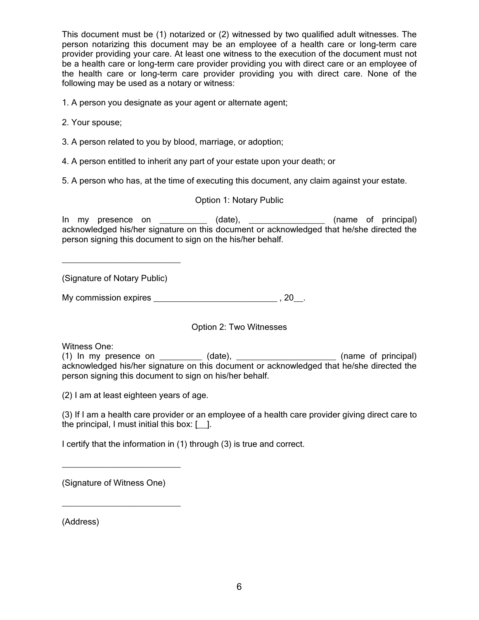This document must be (1) notarized or (2) witnessed by two qualified adult witnesses. The person notarizing this document may be an employee of a health care or long-term care provider providing your care. At least one witness to the execution of the document must not be a health care or long-term care provider providing you with direct care or an employee of the health care or long-term care provider providing you with direct care. None of the following may be used as a notary or witness:

1. A person you designate as your agent or alternate agent;

2. Your spouse;

3. A person related to you by blood, marriage, or adoption;

4. A person entitled to inherit any part of your estate upon your death; or

5. A person who has, at the time of executing this document, any claim against your estate.

Option 1: Notary Public

In my presence on  $(date)$ ,  $(date)$  (name of principal) acknowledged his/her signature on this document or acknowledged that he/she directed the person signing this document to sign on the his/her behalf.

(Signature of Notary Public)

\_\_\_\_\_\_\_\_\_\_\_\_\_\_\_\_\_\_\_\_\_\_\_\_\_

My commission expires \_\_\_\_\_\_\_\_\_\_\_\_\_\_\_\_\_\_\_\_\_\_\_\_\_\_ , 20\_\_.

Option 2: Two Witnesses

Witness One:

 $(1)$  In my presence on  $\qquad \qquad$   $(date), \qquad \qquad$   $(name of principal)$ acknowledged his/her signature on this document or acknowledged that he/she directed the person signing this document to sign on his/her behalf.

(2) I am at least eighteen years of age.

(3) If I am a health care provider or an employee of a health care provider giving direct care to the principal, I must initial this box: [\_\_].

I certify that the information in (1) through (3) is true and correct.

(Signature of Witness One)

\_\_\_\_\_\_\_\_\_\_\_\_\_\_\_\_\_\_\_\_\_\_\_\_\_

\_\_\_\_\_\_\_\_\_\_\_\_\_\_\_\_\_\_\_\_\_\_\_\_\_

(Address)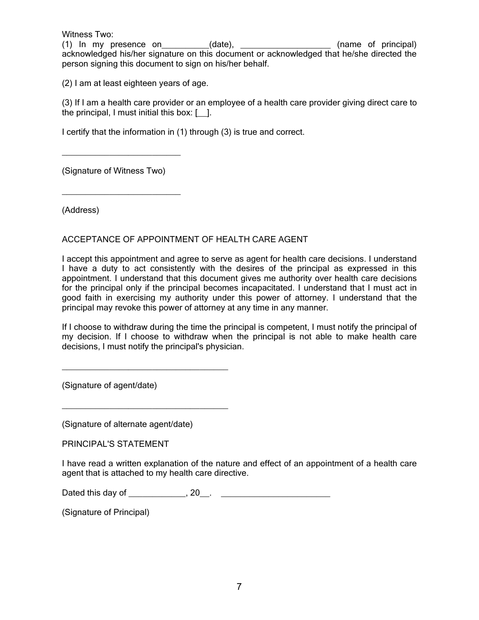Witness Two:

(1) In my presence on\_\_\_\_\_\_\_\_\_\_(date), \_\_\_\_\_\_\_\_\_\_\_\_\_\_\_\_\_\_\_ (name of principal) acknowledged his/her signature on this document or acknowledged that he/she directed the person signing this document to sign on his/her behalf.

(2) I am at least eighteen years of age.

(3) If I am a health care provider or an employee of a health care provider giving direct care to the principal, I must initial this box: [\_\_].

I certify that the information in (1) through (3) is true and correct.

(Signature of Witness Two)

\_\_\_\_\_\_\_\_\_\_\_\_\_\_\_\_\_\_\_\_\_\_\_\_\_

\_\_\_\_\_\_\_\_\_\_\_\_\_\_\_\_\_\_\_\_\_\_\_\_\_

(Address)

ACCEPTANCE OF APPOINTMENT OF HEALTH CARE AGENT

I accept this appointment and agree to serve as agent for health care decisions. I understand I have a duty to act consistently with the desires of the principal as expressed in this appointment. I understand that this document gives me authority over health care decisions for the principal only if the principal becomes incapacitated. I understand that I must act in good faith in exercising my authority under this power of attorney. I understand that the principal may revoke this power of attorney at any time in any manner.

If I choose to withdraw during the time the principal is competent, I must notify the principal of my decision. If I choose to withdraw when the principal is not able to make health care decisions, I must notify the principal's physician.

(Signature of agent/date)

(Signature of alternate agent/date)

\_\_\_\_\_\_\_\_\_\_\_\_\_\_\_\_\_\_\_\_\_\_\_\_\_\_\_\_\_\_\_\_\_\_\_

\_\_\_\_\_\_\_\_\_\_\_\_\_\_\_\_\_\_\_\_\_\_\_\_\_\_\_\_\_\_\_\_\_\_\_

PRINCIPAL'S STATEMENT

I have read a written explanation of the nature and effect of an appointment of a health care agent that is attached to my health care directive.

Dated this day of \_\_\_\_\_\_\_\_\_\_\_\_, 20\_\_. \_\_\_\_\_\_\_\_\_\_\_\_\_\_\_\_\_\_\_\_\_\_\_

(Signature of Principal)